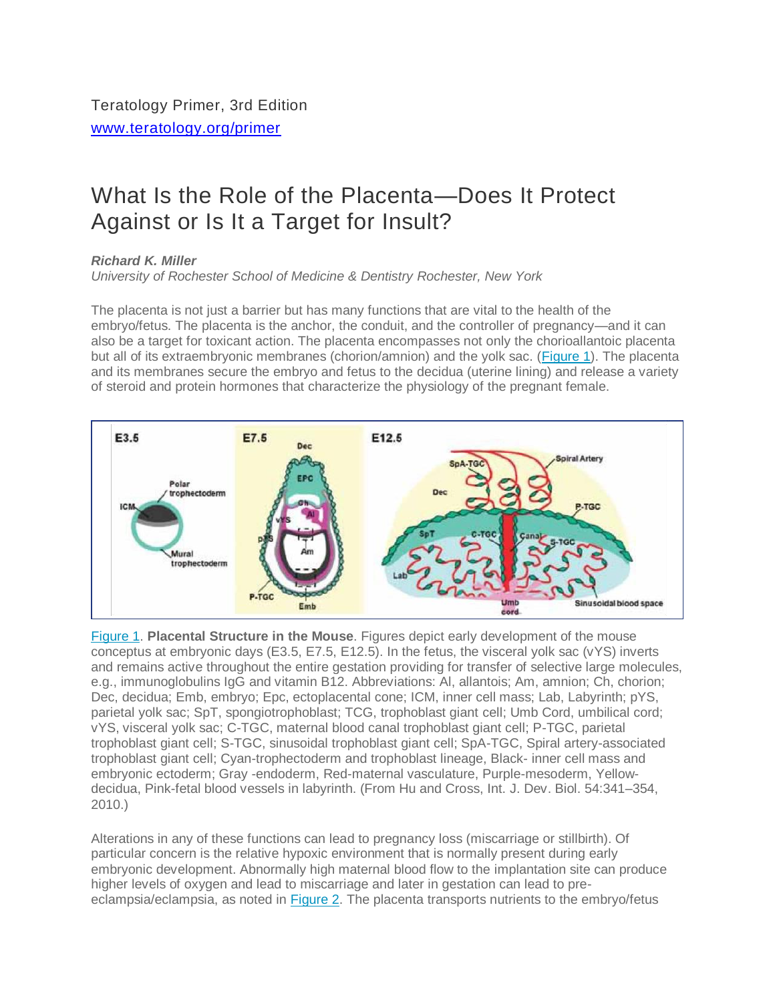## What Is the Role of the Placenta—Does It Protect Against or Is It a Target for Insult?

## *Richard K. Miller*

*University of Rochester School of Medicine & Dentistry Rochester, New York*

The placenta is not just a barrier but has many functions that are vital to the health of the embryo/fetus. The placenta is the anchor, the conduit, and the controller of pregnancy—and it can also be a target for toxicant action. The placenta encompasses not only the chorioallantoic placenta but all of its extraembryonic membranes (chorion/amnion) and the yolk sac. [\(Figure](https://www.teratology.org/primer/Placenta.asp#fig1) 1). The placenta and its membranes secure the embryo and fetus to the decidua (uterine lining) and release a variety of steroid and protein hormones that characterize the physiology of the pregnant female.



[Figure](https://www.teratology.org/primer/Placenta.asp#fig1) 1. **Placental Structure in the Mouse**. Figures depict early development of the mouse conceptus at embryonic days (E3.5, E7.5, E12.5). In the fetus, the visceral yolk sac (vYS) inverts and remains active throughout the entire gestation providing for transfer of selective large molecules, e.g., immunoglobulins IgG and vitamin B12. Abbreviations: Al, allantois; Am, amnion; Ch, chorion; Dec, decidua; Emb, embryo; Epc, ectoplacental cone; ICM, inner cell mass; Lab, Labyrinth; pYS, parietal yolk sac; SpT, spongiotrophoblast; TCG, trophoblast giant cell; Umb Cord, umbilical cord; vYS, visceral yolk sac; C-TGC, maternal blood canal trophoblast giant cell; P-TGC, parietal trophoblast giant cell; S-TGC, sinusoidal trophoblast giant cell; SpA-TGC, Spiral artery-associated trophoblast giant cell; Cyan-trophectoderm and trophoblast lineage, Black- inner cell mass and embryonic ectoderm; Gray -endoderm, Red-maternal vasculature, Purple-mesoderm, Yellowdecidua, Pink-fetal blood vessels in labyrinth. (From Hu and Cross, Int. J. Dev. Biol. 54:341–354, 2010.)

Alterations in any of these functions can lead to pregnancy loss (miscarriage or stillbirth). Of particular concern is the relative hypoxic environment that is normally present during early embryonic development. Abnormally high maternal blood flow to the implantation site can produce higher levels of oxygen and lead to miscarriage and later in gestation can lead to preeclampsia/eclampsia, as noted in [Figure](https://www.teratology.org/primer/Placenta.asp#fig2) 2. The placenta transports nutrients to the embryo/fetus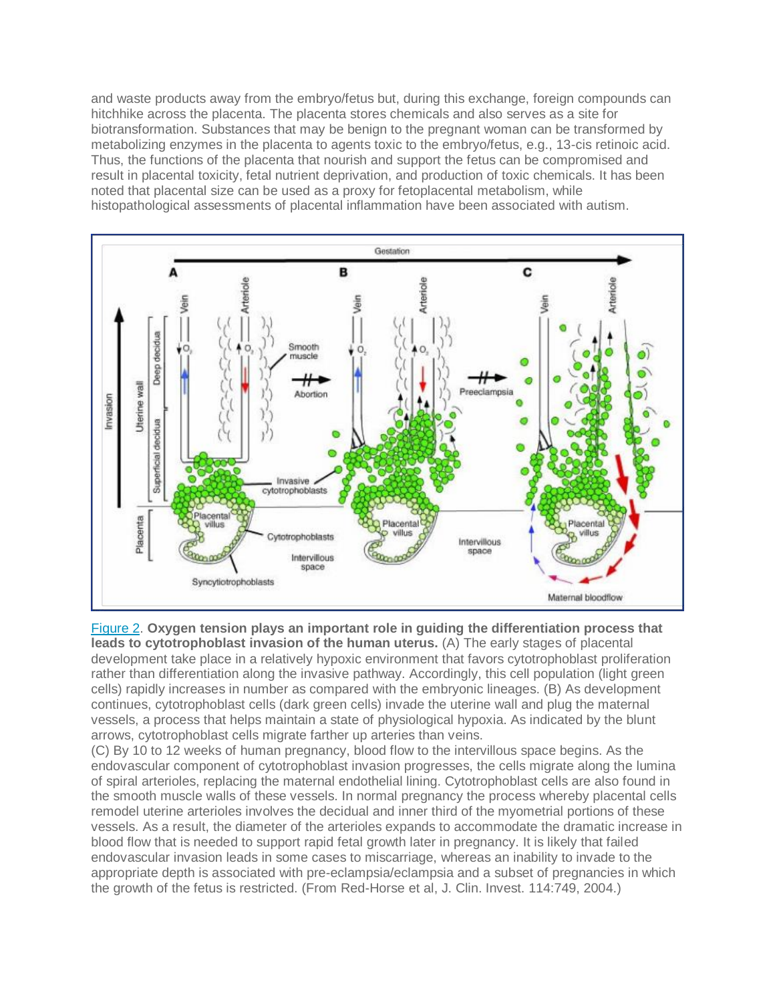and waste products away from the embryo/fetus but, during this exchange, foreign compounds can hitchhike across the placenta. The placenta stores chemicals and also serves as a site for biotransformation. Substances that may be benign to the pregnant woman can be transformed by metabolizing enzymes in the placenta to agents toxic to the embryo/fetus, e.g., 13-cis retinoic acid. Thus, the functions of the placenta that nourish and support the fetus can be compromised and result in placental toxicity, fetal nutrient deprivation, and production of toxic chemicals. It has been noted that placental size can be used as a proxy for fetoplacental metabolism, while histopathological assessments of placental inflammation have been associated with autism.



[Figure](https://www.teratology.org/primer/Placenta.asp#fig2) 2. **Oxygen tension plays an important role in guiding the differentiation process that leads to cytotrophoblast invasion of the human uterus.** (A) The early stages of placental development take place in a relatively hypoxic environment that favors cytotrophoblast proliferation rather than differentiation along the invasive pathway. Accordingly, this cell population (light green cells) rapidly increases in number as compared with the embryonic lineages. (B) As development continues, cytotrophoblast cells (dark green cells) invade the uterine wall and plug the maternal vessels, a process that helps maintain a state of physiological hypoxia. As indicated by the blunt arrows, cytotrophoblast cells migrate farther up arteries than veins.

(C) By 10 to 12 weeks of human pregnancy, blood flow to the intervillous space begins. As the endovascular component of cytotrophoblast invasion progresses, the cells migrate along the lumina of spiral arterioles, replacing the maternal endothelial lining. Cytotrophoblast cells are also found in the smooth muscle walls of these vessels. In normal pregnancy the process whereby placental cells remodel uterine arterioles involves the decidual and inner third of the myometrial portions of these vessels. As a result, the diameter of the arterioles expands to accommodate the dramatic increase in blood flow that is needed to support rapid fetal growth later in pregnancy. It is likely that failed endovascular invasion leads in some cases to miscarriage, whereas an inability to invade to the appropriate depth is associated with pre-eclampsia/eclampsia and a subset of pregnancies in which the growth of the fetus is restricted. (From Red-Horse et al, J. Clin. Invest. 114:749, 2004.)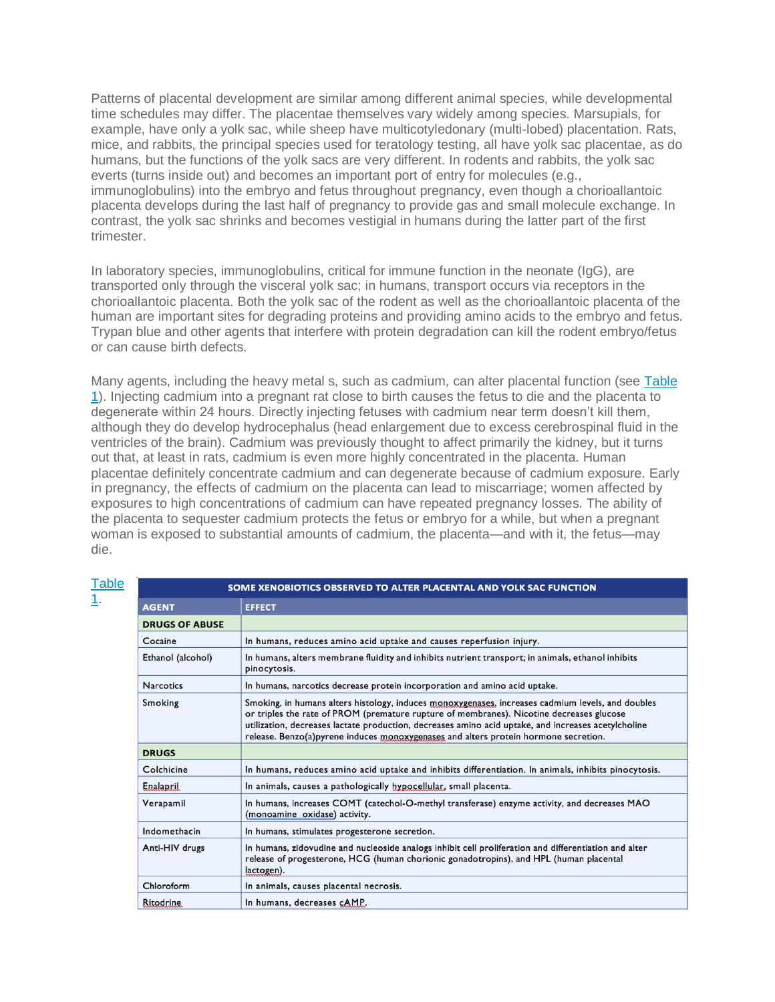Patterns of placental development are similar among different animal species, while developmental time schedules may differ. The placentae themselves vary widely among species. Marsupials, for example, have only a yolk sac, while sheep have multicotyledonary (multi-lobed) placentation. Rats, mice, and rabbits, the principal species used for teratology testing, all have yolk sac placentae, as do humans, but the functions of the yolk sacs are very different. In rodents and rabbits, the yolk sac everts (turns inside out) and becomes an important port of entry for molecules (e.g., immunoglobulins) into the embryo and fetus throughout pregnancy, even though a chorioallantoic placenta develops during the last half of pregnancy to provide gas and small molecule exchange. In contrast, the yolk sac shrinks and becomes vestigial in humans during the latter part of the first trimester.

In laboratory species, immunoglobulins, critical for immune function in the neonate (IgG), are transported only through the visceral yolk sac; in humans, transport occurs via receptors in the chorioallantoic placenta. Both the yolk sac of the rodent as well as the chorioallantoic placenta of the human are important sites for degrading proteins and providing amino acids to the embryo and fetus. Trypan blue and other agents that interfere with protein degradation can kill the rodent embryo/fetus or can cause birth defects.

Many agents, including the heavy metal s, such as cadmium, can alter placental function (see [Table](https://www.teratology.org/primer/Placenta.asp#table1) [1\)](https://www.teratology.org/primer/Placenta.asp#table1). Injecting cadmium into a pregnant rat close to birth causes the fetus to die and the placenta to degenerate within 24 hours. Directly injecting fetuses with cadmium near term doesn't kill them, although they do develop hydrocephalus (head enlargement due to excess cerebrospinal fluid in the ventricles of the brain). Cadmium was previously thought to affect primarily the kidney, but it turns out that, at least in rats, cadmium is even more highly concentrated in the placenta. Human placentae definitely concentrate cadmium and can degenerate because of cadmium exposure. Early in pregnancy, the effects of cadmium on the placenta can lead to miscarriage; women affected by exposures to high concentrations of cadmium can have repeated pregnancy losses. The ability of the placenta to sequester cadmium protects the fetus or embryo for a while, but when a pregnant woman is exposed to substantial amounts of cadmium, the placenta—and with it, the fetus—may die.

| <b>Table</b><br>SOME XENOBIOTICS OBSERVED TO ALTER PLACENTAL AND YOLK SAC FUNCTION |                                                                                                                                                                                                                                                                                                                                                                                             |  |
|------------------------------------------------------------------------------------|---------------------------------------------------------------------------------------------------------------------------------------------------------------------------------------------------------------------------------------------------------------------------------------------------------------------------------------------------------------------------------------------|--|
| <b>AGENT</b>                                                                       | <b>EFFECT</b>                                                                                                                                                                                                                                                                                                                                                                               |  |
| <b>DRUGS OF ABUSE</b>                                                              |                                                                                                                                                                                                                                                                                                                                                                                             |  |
| Cocaine                                                                            | In humans, reduces amino acid uptake and causes reperfusion injury.                                                                                                                                                                                                                                                                                                                         |  |
| Ethanol (alcohol)                                                                  | In humans, alters membrane fluidity and inhibits nutrient transport; in animals, ethanol inhibits<br>pinocytosis.                                                                                                                                                                                                                                                                           |  |
| <b>Narcotics</b>                                                                   | In humans, narcotics decrease protein incorporation and amino acid uptake.                                                                                                                                                                                                                                                                                                                  |  |
| <b>Smoking</b>                                                                     | Smoking, in humans alters histology, induces monoxygenases, increases cadmium levels, and doubles<br>or triples the rate of PROM (premature rupture of membranes). Nicotine decreases glucose<br>utilization, decreases lactate production, decreases amino acid uptake, and increases acetylcholine<br>release. Benzo(a)pyrene induces monoxygenases and alters protein hormone secretion. |  |
| <b>DRUGS</b>                                                                       |                                                                                                                                                                                                                                                                                                                                                                                             |  |
| Colchicine                                                                         | In humans, reduces amino acid uptake and inhibits differentiation. In animals, inhibits pinocytosis.                                                                                                                                                                                                                                                                                        |  |
| Enalapril                                                                          | In animals, causes a pathologically hypocellular, small placenta.                                                                                                                                                                                                                                                                                                                           |  |
| Verapamil                                                                          | In humans, increases COMT (catechol-O-methyl transferase) enzyme activity, and decreases MAO<br>(monoamine oxidase) activity.                                                                                                                                                                                                                                                               |  |
| Indomethacin                                                                       | In humans, stimulates progesterone secretion.                                                                                                                                                                                                                                                                                                                                               |  |
| Anti-HIV drugs                                                                     | In humans, zidovudine and nucleoside analogs inhibit cell proliferation and differentiation and alter<br>release of progesterone, HCG (human chorionic gonadotropins), and HPL (human placental<br>lactogen).                                                                                                                                                                               |  |
| Chloroform                                                                         | In animals, causes placental necrosis.                                                                                                                                                                                                                                                                                                                                                      |  |
| Ritodrine                                                                          | In humans, decreases cAMP.                                                                                                                                                                                                                                                                                                                                                                  |  |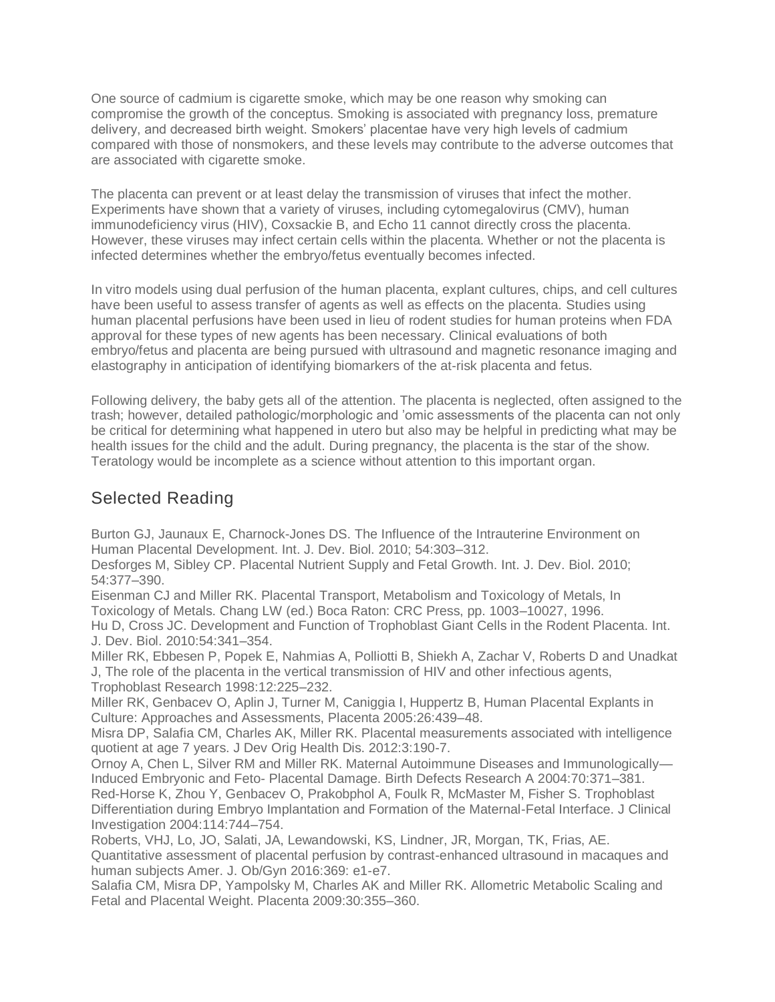One source of cadmium is cigarette smoke, which may be one reason why smoking can compromise the growth of the conceptus. Smoking is associated with pregnancy loss, premature delivery, and decreased birth weight. Smokers' placentae have very high levels of cadmium compared with those of nonsmokers, and these levels may contribute to the adverse outcomes that are associated with cigarette smoke.

The placenta can prevent or at least delay the transmission of viruses that infect the mother. Experiments have shown that a variety of viruses, including cytomegalovirus (CMV), human immunodeficiency virus (HIV), Coxsackie B, and Echo 11 cannot directly cross the placenta. However, these viruses may infect certain cells within the placenta. Whether or not the placenta is infected determines whether the embryo/fetus eventually becomes infected.

In vitro models using dual perfusion of the human placenta, explant cultures, chips, and cell cultures have been useful to assess transfer of agents as well as effects on the placenta. Studies using human placental perfusions have been used in lieu of rodent studies for human proteins when FDA approval for these types of new agents has been necessary. Clinical evaluations of both embryo/fetus and placenta are being pursued with ultrasound and magnetic resonance imaging and elastography in anticipation of identifying biomarkers of the at-risk placenta and fetus.

Following delivery, the baby gets all of the attention. The placenta is neglected, often assigned to the trash; however, detailed pathologic/morphologic and 'omic assessments of the placenta can not only be critical for determining what happened in utero but also may be helpful in predicting what may be health issues for the child and the adult. During pregnancy, the placenta is the star of the show. Teratology would be incomplete as a science without attention to this important organ.

## Selected Reading

Burton GJ, Jaunaux E, Charnock-Jones DS. The Influence of the Intrauterine Environment on Human Placental Development. Int. J. Dev. Biol. 2010; 54:303–312.

Desforges M, Sibley CP. Placental Nutrient Supply and Fetal Growth. Int. J. Dev. Biol. 2010; 54:377–390.

Eisenman CJ and Miller RK. Placental Transport, Metabolism and Toxicology of Metals, In Toxicology of Metals. Chang LW (ed.) Boca Raton: CRC Press, pp. 1003–10027, 1996.

Hu D, Cross JC. Development and Function of Trophoblast Giant Cells in the Rodent Placenta. Int. J. Dev. Biol. 2010:54:341–354.

Miller RK, Ebbesen P, Popek E, Nahmias A, Polliotti B, Shiekh A, Zachar V, Roberts D and Unadkat J, The role of the placenta in the vertical transmission of HIV and other infectious agents, Trophoblast Research 1998:12:225–232.

Miller RK, Genbacev O, Aplin J, Turner M, Caniggia I, Huppertz B, Human Placental Explants in Culture: Approaches and Assessments, Placenta 2005:26:439–48.

Misra DP, Salafia CM, Charles AK, Miller RK. Placental measurements associated with intelligence quotient at age 7 years. J Dev Orig Health Dis. 2012:3:190-7.

Ornoy A, Chen L, Silver RM and Miller RK. Maternal Autoimmune Diseases and Immunologically— Induced Embryonic and Feto- Placental Damage. Birth Defects Research A 2004:70:371–381.

Red-Horse K, Zhou Y, Genbacev O, Prakobphol A, Foulk R, McMaster M, Fisher S. Trophoblast Differentiation during Embryo Implantation and Formation of the Maternal-Fetal Interface. J Clinical Investigation 2004:114:744–754.

Roberts, VHJ, Lo, JO, Salati, JA, Lewandowski, KS, Lindner, JR, Morgan, TK, Frias, AE. Quantitative assessment of placental perfusion by contrast-enhanced ultrasound in macaques and human subjects Amer. J. Ob/Gyn 2016:369: e1-e7.

Salafia CM, Misra DP, Yampolsky M, Charles AK and Miller RK. Allometric Metabolic Scaling and Fetal and Placental Weight. Placenta 2009:30:355–360.